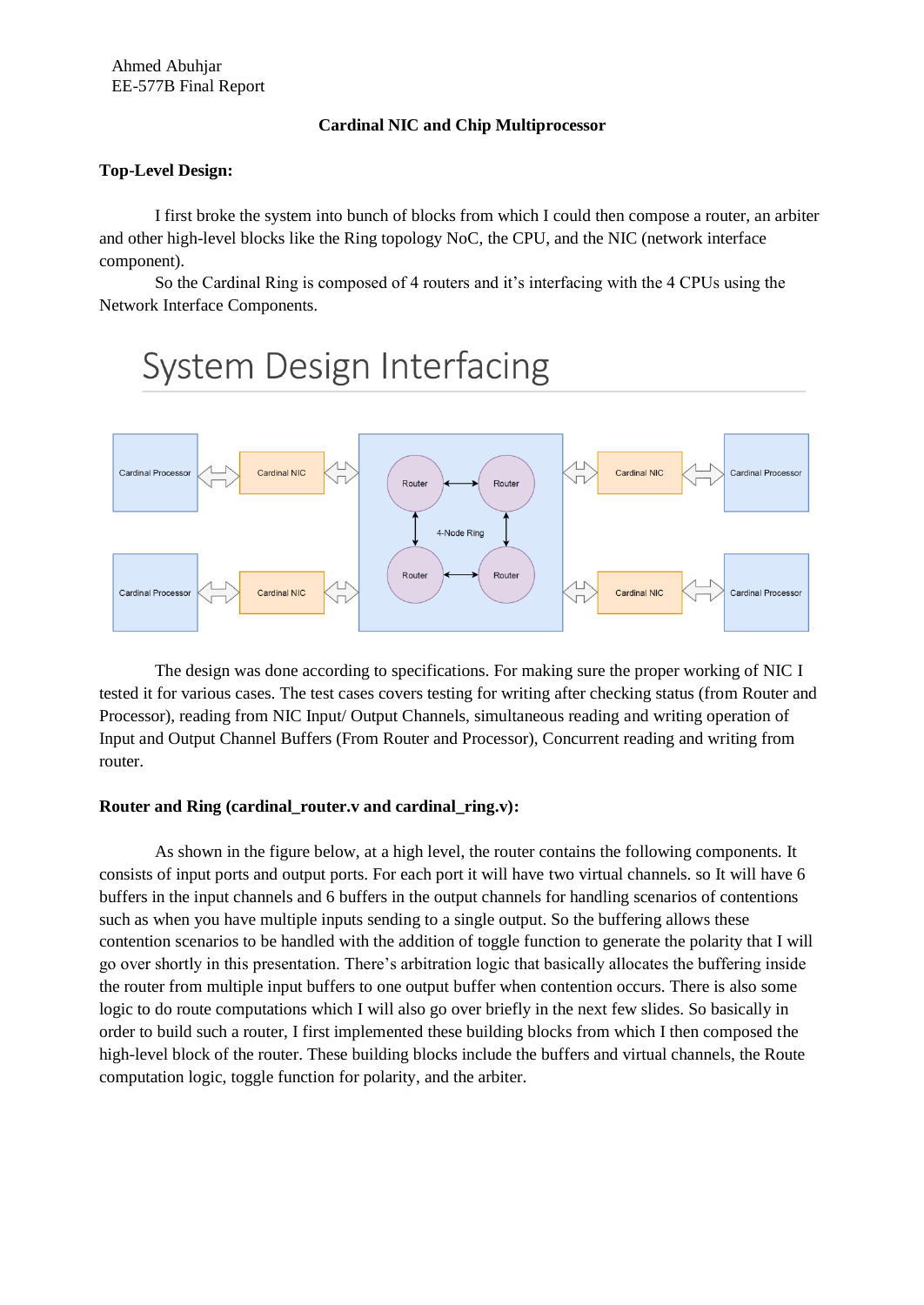# **Cardinal NIC and Chip Multiprocessor**

# **Top-Level Design:**

I first broke the system into bunch of blocks from which I could then compose a router, an arbiter and other high-level blocks like the Ring topology NoC, the CPU, and the NIC (network interface component).

So the Cardinal Ring is composed of 4 routers and it's interfacing with the 4 CPUs using the Network Interface Components.

# **System Design Interfacing**



The design was done according to specifications. For making sure the proper working of NIC I tested it for various cases. The test cases covers testing for writing after checking status (from Router and Processor), reading from NIC Input/ Output Channels, simultaneous reading and writing operation of Input and Output Channel Buffers (From Router and Processor), Concurrent reading and writing from router.

# **Router and Ring (cardinal\_router.v and cardinal\_ring.v):**

As shown in the figure below, at a high level, the router contains the following components. It consists of input ports and output ports. For each port it will have two virtual channels. so It will have 6 buffers in the input channels and 6 buffers in the output channels for handling scenarios of contentions such as when you have multiple inputs sending to a single output. So the buffering allows these contention scenarios to be handled with the addition of toggle function to generate the polarity that I will go over shortly in this presentation. There's arbitration logic that basically allocates the buffering inside the router from multiple input buffers to one output buffer when contention occurs. There is also some logic to do route computations which I will also go over briefly in the next few slides. So basically in order to build such a router, I first implemented these building blocks from which I then composed the high-level block of the router. These building blocks include the buffers and virtual channels, the Route computation logic, toggle function for polarity, and the arbiter.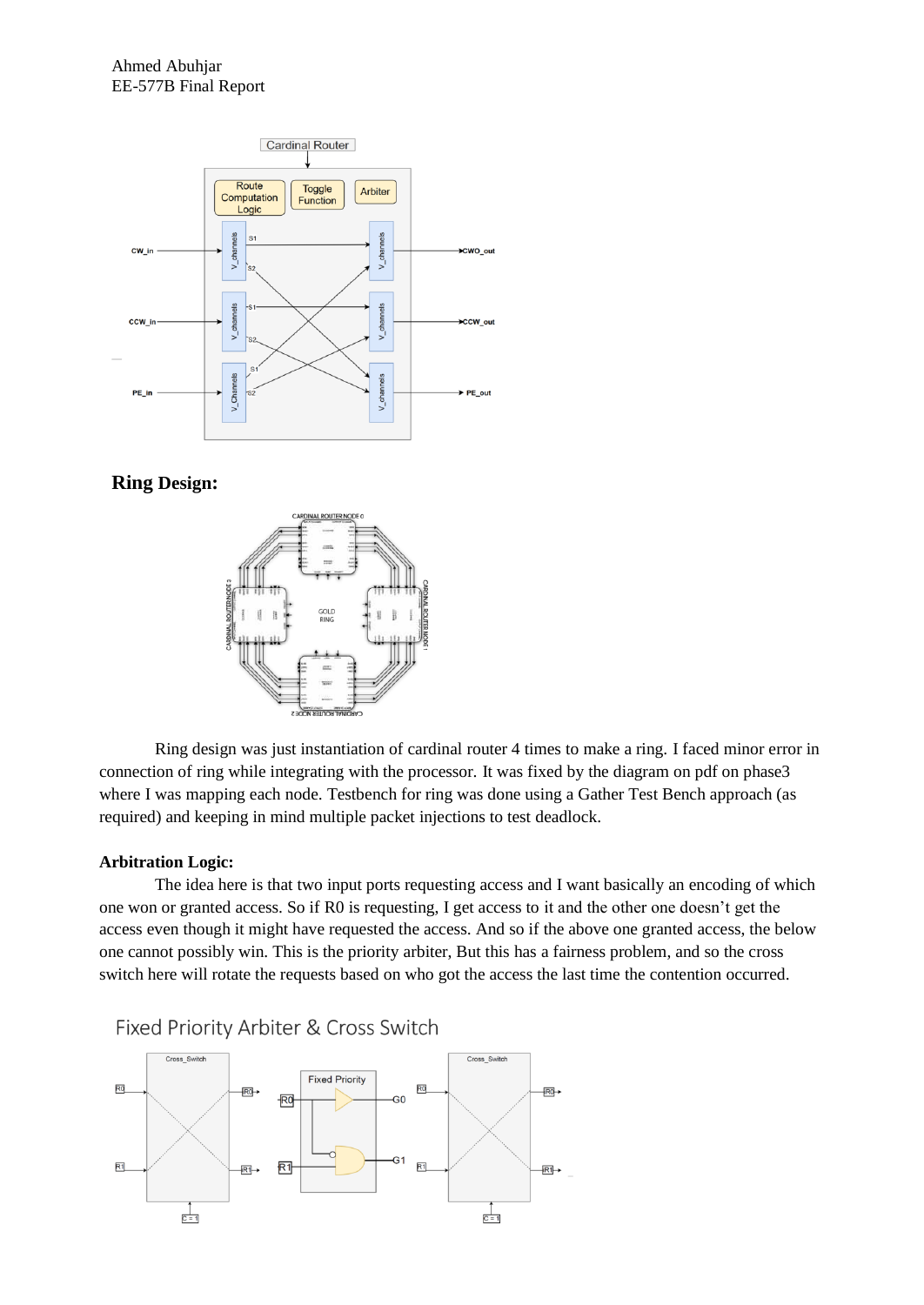

# **Ring Design:**



Ring design was just instantiation of cardinal router 4 times to make a ring. I faced minor error in connection of ring while integrating with the processor. It was fixed by the diagram on pdf on phase3 where I was mapping each node. Testbench for ring was done using a Gather Test Bench approach (as required) and keeping in mind multiple packet injections to test deadlock.

#### **Arbitration Logic:**

The idea here is that two input ports requesting access and I want basically an encoding of which one won or granted access. So if R0 is requesting, I get access to it and the other one doesn't get the access even though it might have requested the access. And so if the above one granted access, the below one cannot possibly win. This is the priority arbiter, But this has a fairness problem, and so the cross switch here will rotate the requests based on who got the access the last time the contention occurred.



Fixed Priority Arbiter & Cross Switch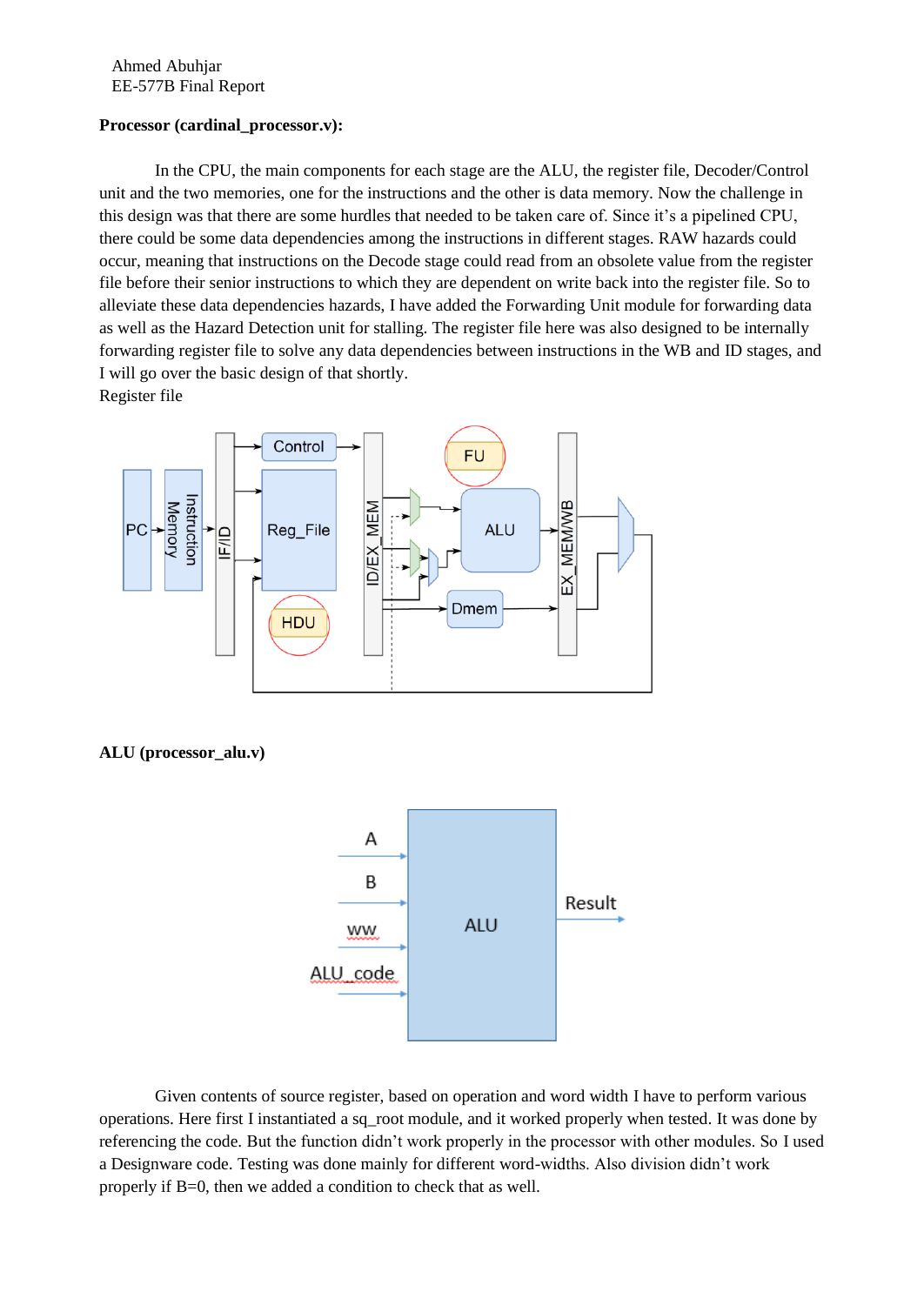# **Processor (cardinal\_processor.v):**

In the CPU, the main components for each stage are the ALU, the register file, Decoder/Control unit and the two memories, one for the instructions and the other is data memory. Now the challenge in this design was that there are some hurdles that needed to be taken care of. Since it's a pipelined CPU, there could be some data dependencies among the instructions in different stages. RAW hazards could occur, meaning that instructions on the Decode stage could read from an obsolete value from the register file before their senior instructions to which they are dependent on write back into the register file. So to alleviate these data dependencies hazards, I have added the Forwarding Unit module for forwarding data as well as the Hazard Detection unit for stalling. The register file here was also designed to be internally forwarding register file to solve any data dependencies between instructions in the WB and ID stages, and I will go over the basic design of that shortly.





# **ALU (processor\_alu.v)**



Given contents of source register, based on operation and word width I have to perform various operations. Here first I instantiated a sq\_root module, and it worked properly when tested. It was done by referencing the code. But the function didn't work properly in the processor with other modules. So I used a Designware code. Testing was done mainly for different word-widths. Also division didn't work properly if B=0, then we added a condition to check that as well.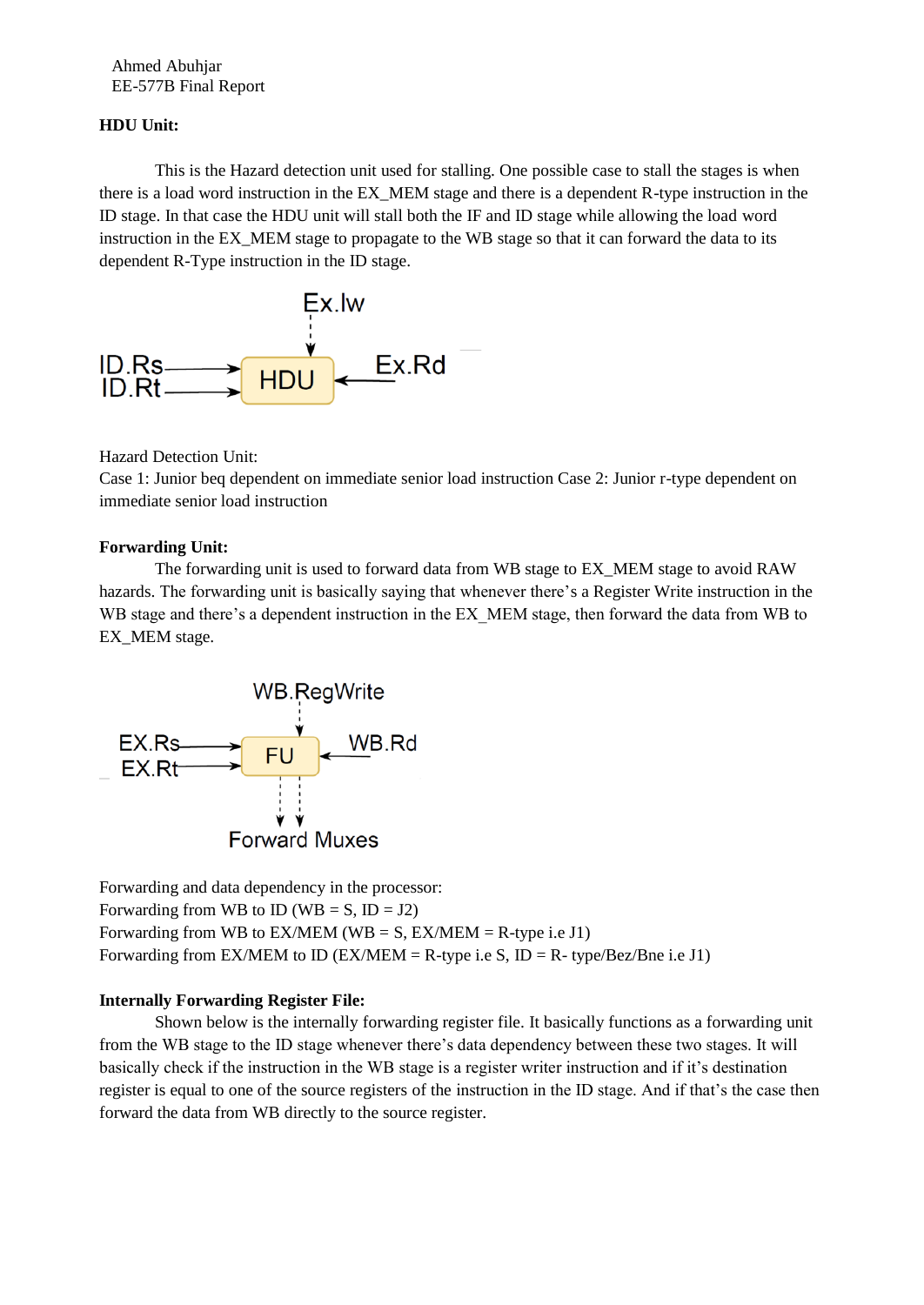# **HDU Unit:**

This is the Hazard detection unit used for stalling. One possible case to stall the stages is when there is a load word instruction in the EX\_MEM stage and there is a dependent R-type instruction in the ID stage. In that case the HDU unit will stall both the IF and ID stage while allowing the load word instruction in the EX\_MEM stage to propagate to the WB stage so that it can forward the data to its dependent R-Type instruction in the ID stage.



Hazard Detection Unit:

Case 1: Junior beq dependent on immediate senior load instruction Case 2: Junior r-type dependent on immediate senior load instruction

# **Forwarding Unit:**

The forwarding unit is used to forward data from WB stage to EX\_MEM stage to avoid RAW hazards. The forwarding unit is basically saying that whenever there's a Register Write instruction in the WB stage and there's a dependent instruction in the EX\_MEM stage, then forward the data from WB to EX MEM stage.



Forwarding and data dependency in the processor: Forwarding from WB to ID (WB =  $S$ , ID = J2) Forwarding from WB to  $EX/MEM$  (WB = S,  $EX/MEM$  = R-type i.e J1) Forwarding from EX/MEM to ID (EX/MEM = R-type i.e S, ID = R- type/Bez/Bne i.e J1)

# **Internally Forwarding Register File:**

Shown below is the internally forwarding register file. It basically functions as a forwarding unit from the WB stage to the ID stage whenever there's data dependency between these two stages. It will basically check if the instruction in the WB stage is a register writer instruction and if it's destination register is equal to one of the source registers of the instruction in the ID stage. And if that's the case then forward the data from WB directly to the source register.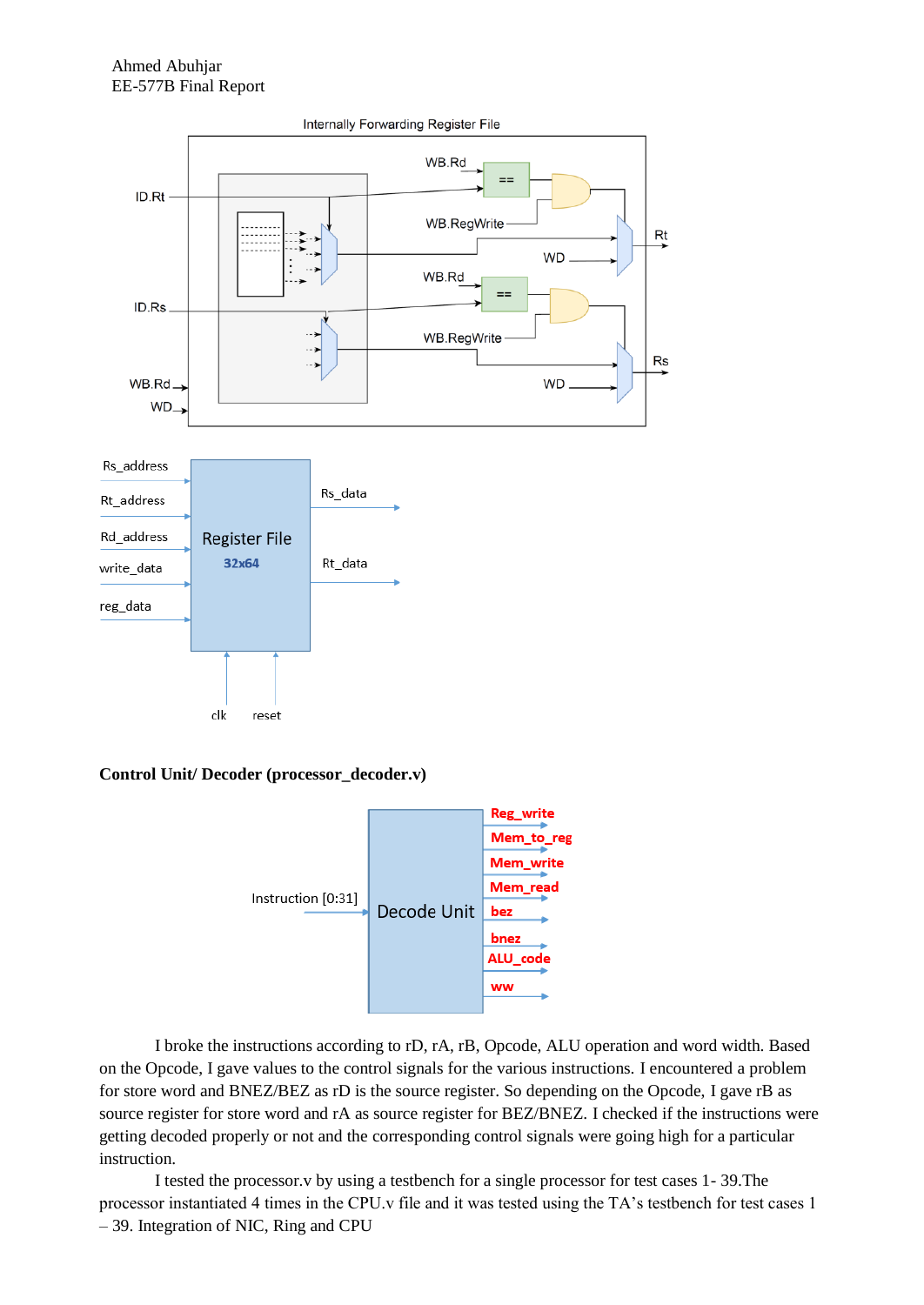

**Control Unit/ Decoder (processor\_decoder.v)**



I broke the instructions according to rD, rA, rB, Opcode, ALU operation and word width. Based on the Opcode, I gave values to the control signals for the various instructions. I encountered a problem for store word and BNEZ/BEZ as rD is the source register. So depending on the Opcode, I gave rB as source register for store word and rA as source register for BEZ/BNEZ. I checked if the instructions were getting decoded properly or not and the corresponding control signals were going high for a particular instruction.

I tested the processor.v by using a testbench for a single processor for test cases 1- 39.The processor instantiated 4 times in the CPU.v file and it was tested using the TA's testbench for test cases 1 – 39. Integration of NIC, Ring and CPU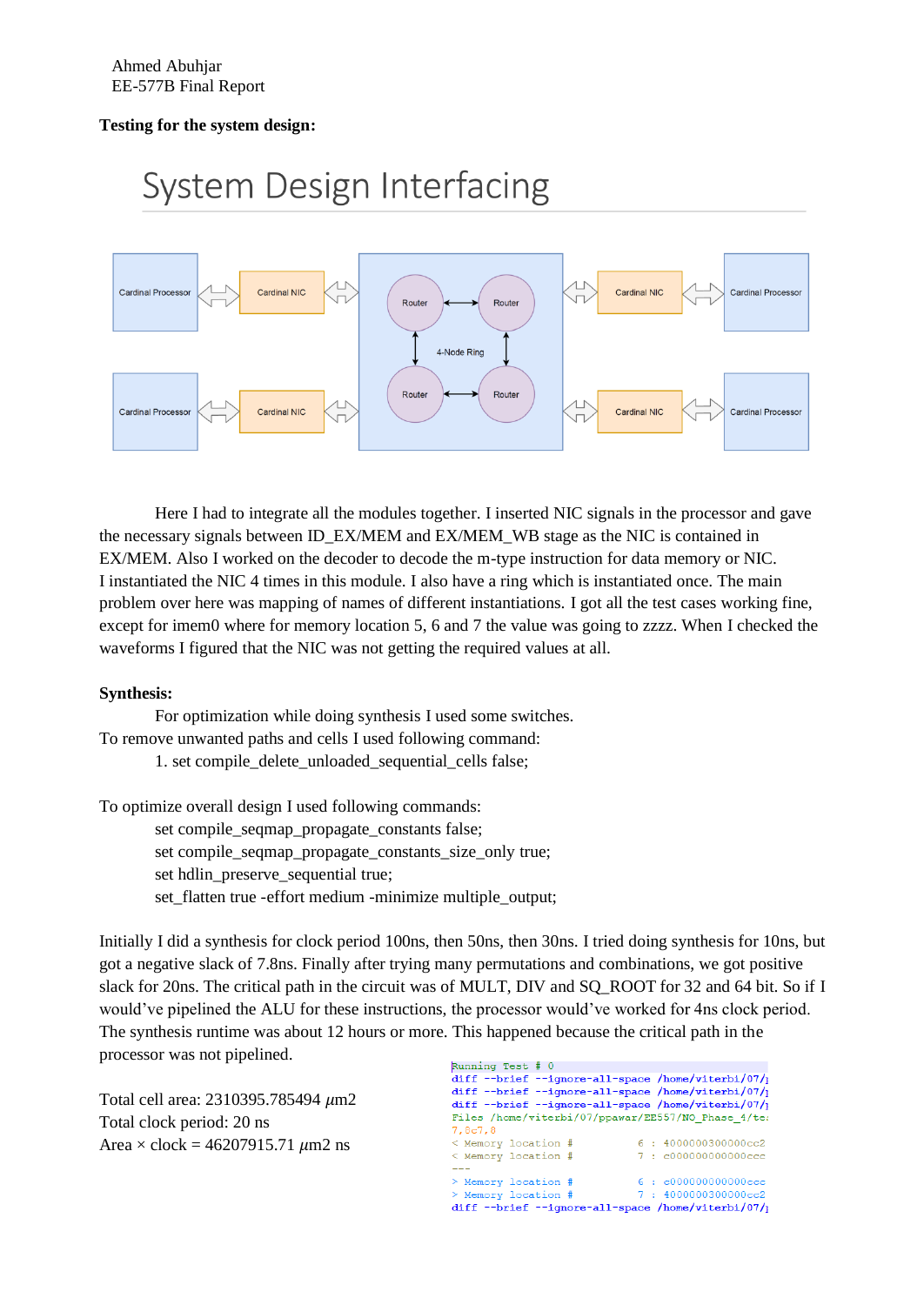# **Testing for the system design:**

# **System Design Interfacing**



Here I had to integrate all the modules together. I inserted NIC signals in the processor and gave the necessary signals between ID\_EX/MEM and EX/MEM\_WB stage as the NIC is contained in EX/MEM. Also I worked on the decoder to decode the m-type instruction for data memory or NIC. I instantiated the NIC 4 times in this module. I also have a ring which is instantiated once. The main problem over here was mapping of names of different instantiations. I got all the test cases working fine, except for imem0 where for memory location 5, 6 and 7 the value was going to zzzz. When I checked the waveforms I figured that the NIC was not getting the required values at all.

#### **Synthesis:**

For optimization while doing synthesis I used some switches. To remove unwanted paths and cells I used following command: 1. set compile\_delete\_unloaded\_sequential\_cells false;

To optimize overall design I used following commands:

set compile\_seqmap\_propagate\_constants false;

set compile\_seqmap\_propagate\_constants\_size\_only true;

set hdlin\_preserve\_sequential true;

set flatten true -effort medium -minimize multiple output;

Initially I did a synthesis for clock period 100ns, then 50ns, then 30ns. I tried doing synthesis for 10ns, but got a negative slack of 7.8ns. Finally after trying many permutations and combinations, we got positive slack for 20ns. The critical path in the circuit was of MULT, DIV and SQ\_ROOT for 32 and 64 bit. So if I would've pipelined the ALU for these instructions, the processor would've worked for 4ns clock period. The synthesis runtime was about 12 hours or more. This happened because the critical path in the processor was not pipelined.

Total cell area: 2310395.785494  $\mu$ m2 Total clock period: 20 ns Area  $\times$  clock = 46207915.71  $\mu$ m2 ns

Running Test # 0 diff --brief --ignore-all-space /home/viterbi/07/ diff --brief --ignore-all-space /home/viterbi/07/ diff --brief --ignore-all-space /home/viterbi/07/ Files /home/viterbi/07/ppawar/EE557/NO Phase 4/tes 7,8c7,8 < Memory location #  $6:4000000300000c c2$ < Memory location # 7: c000000000000ccc  $6: 60000000000000000$ > Memory location #  $7:4000000300000cc$ > Memory location # diff --brief --ignore-all-space /home/viterbi/07/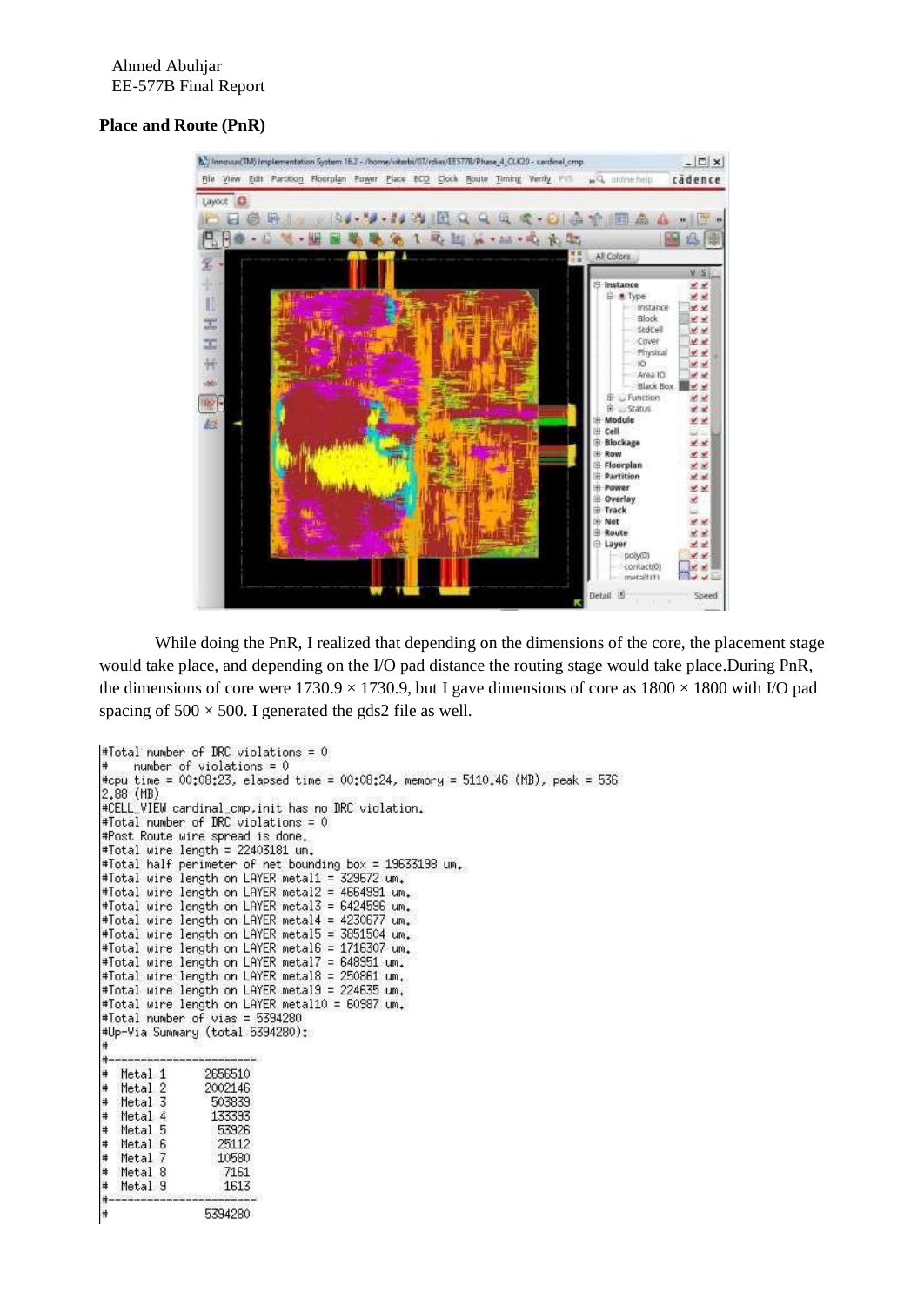# **Place and Route (PnR)**



While doing the PnR, I realized that depending on the dimensions of the core, the placement stage would take place, and depending on the I/O pad distance the routing stage would take place.During PnR, the dimensions of core were  $1730.9 \times 1730.9$ , but I gave dimensions of core as  $1800 \times 1800$  with I/O pad spacing of  $500 \times 500$ . I generated the gds2 file as well.

```
#Total number of DRC violations = 0
     number of violations = 0#cpu time = 00:08:23, elapsed time = 00:08:24, memory = 5110.46 (MB), peak = 536
2,88 (MB)
#CELL_VIEW cardinal_cmp, init has no DRC violation.
#Total number of DRC violations = 0
#Post Route wire spread is done.
#Total wire length = 22403181 um.
#Total half perimeter of net bounding box = 19633198 um.
#Total wire length on LAYER metal1 =
                                       329672 um.
#Total wire length on LAYER metal2 = 4664991 um.
#Total wire length on LAYER metal3 = 6424596 um.
#Total wire length on LAYER metal4 = 4230677 um.
#Total wire length on LAYER metal5 = 3851504 um.
#Total wire length on LAYER metal6 = 1716307 um.
#Total wire length on LAYER metal7 = 648951 um.
#Total wire length on LAYER metal8 = 250861 um.
#Total wire length on LAYER metal9 = 224635 um.
#Total wire length on LAYER metal10 = 60987 um.
#Total number of vias = 5394280<br>#Up-Via Summary (total 5394280):
   Metal 1
                 2656510
   Metal 2<br>Metal 3
                 2002146
                  503839
   Metal 4
                  133393
   Metal 5
                   53926
   Metal 6
                   25112
   Metal 7
                   10580
   Metal 8
                    7161
   Metal 9
                    1613
                 5394280
```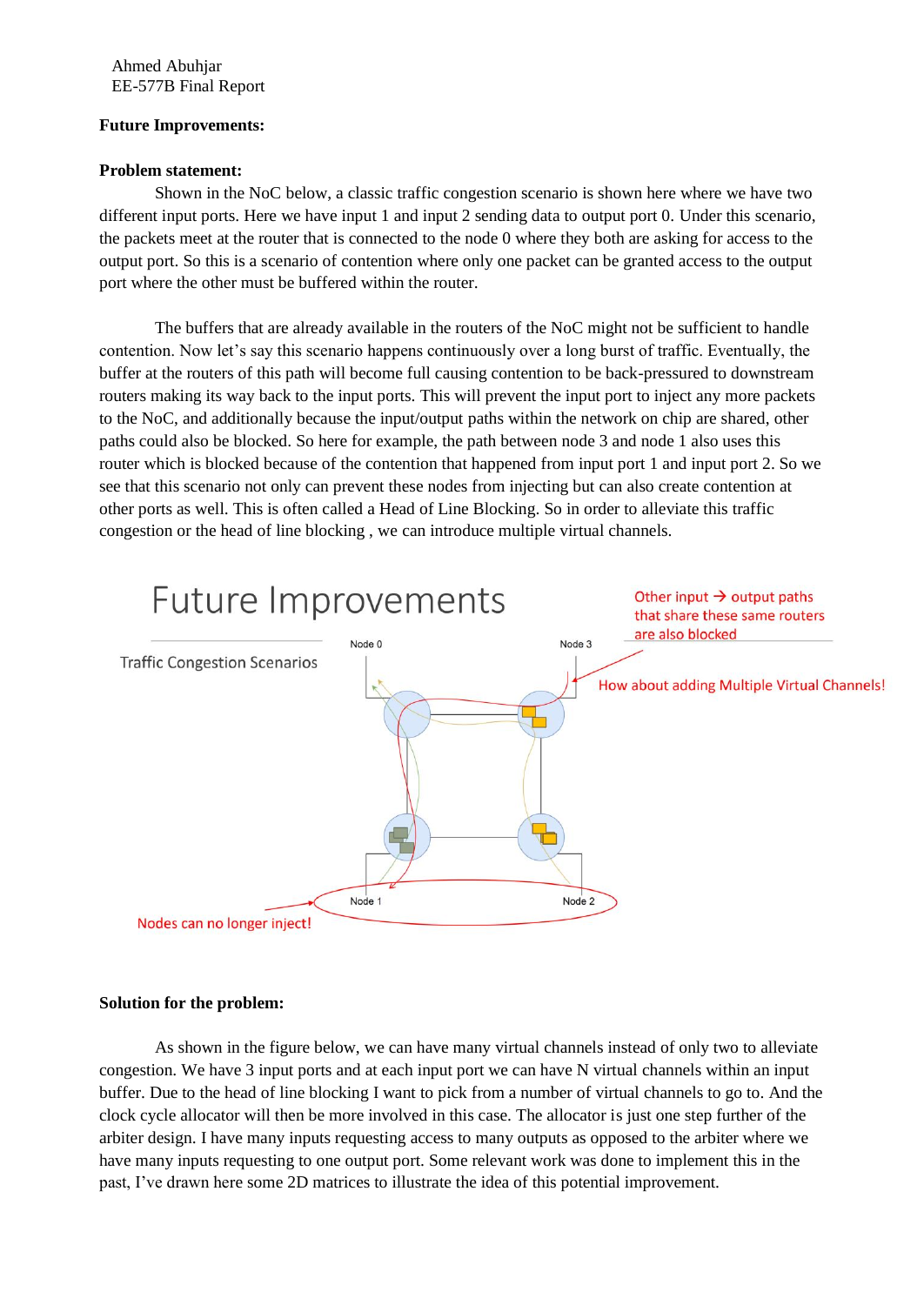### **Future Improvements:**

#### **Problem statement:**

Shown in the NoC below, a classic traffic congestion scenario is shown here where we have two different input ports. Here we have input 1 and input 2 sending data to output port 0. Under this scenario, the packets meet at the router that is connected to the node 0 where they both are asking for access to the output port. So this is a scenario of contention where only one packet can be granted access to the output port where the other must be buffered within the router.

The buffers that are already available in the routers of the NoC might not be sufficient to handle contention. Now let's say this scenario happens continuously over a long burst of traffic. Eventually, the buffer at the routers of this path will become full causing contention to be back-pressured to downstream routers making its way back to the input ports. This will prevent the input port to inject any more packets to the NoC, and additionally because the input/output paths within the network on chip are shared, other paths could also be blocked. So here for example, the path between node 3 and node 1 also uses this router which is blocked because of the contention that happened from input port 1 and input port 2. So we see that this scenario not only can prevent these nodes from injecting but can also create contention at other ports as well. This is often called a Head of Line Blocking. So in order to alleviate this traffic congestion or the head of line blocking , we can introduce multiple virtual channels.



#### **Solution for the problem:**

As shown in the figure below, we can have many virtual channels instead of only two to alleviate congestion. We have 3 input ports and at each input port we can have N virtual channels within an input buffer. Due to the head of line blocking I want to pick from a number of virtual channels to go to. And the clock cycle allocator will then be more involved in this case. The allocator is just one step further of the arbiter design. I have many inputs requesting access to many outputs as opposed to the arbiter where we have many inputs requesting to one output port. Some relevant work was done to implement this in the past, I've drawn here some 2D matrices to illustrate the idea of this potential improvement.